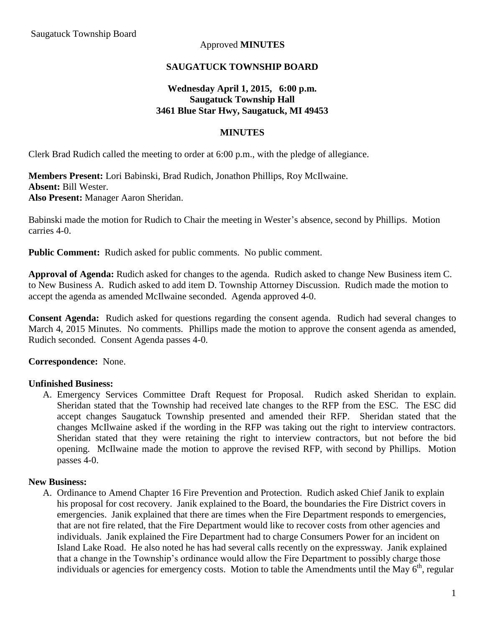## Approved **MINUTES**

### **SAUGATUCK TOWNSHIP BOARD**

## **Wednesday April 1, 2015, 6:00 p.m. Saugatuck Township Hall 3461 Blue Star Hwy, Saugatuck, MI 49453**

### **MINUTES**

Clerk Brad Rudich called the meeting to order at 6:00 p.m., with the pledge of allegiance.

**Members Present:** Lori Babinski, Brad Rudich, Jonathon Phillips, Roy McIlwaine. **Absent:** Bill Wester. **Also Present:** Manager Aaron Sheridan.

Babinski made the motion for Rudich to Chair the meeting in Wester's absence, second by Phillips. Motion carries 4-0.

**Public Comment:** Rudich asked for public comments. No public comment.

**Approval of Agenda:** Rudich asked for changes to the agenda. Rudich asked to change New Business item C. to New Business A. Rudich asked to add item D. Township Attorney Discussion. Rudich made the motion to accept the agenda as amended McIlwaine seconded. Agenda approved 4-0.

**Consent Agenda:** Rudich asked for questions regarding the consent agenda. Rudich had several changes to March 4, 2015 Minutes. No comments. Phillips made the motion to approve the consent agenda as amended, Rudich seconded. Consent Agenda passes 4-0.

## **Correspondence:** None.

#### **Unfinished Business:**

A. Emergency Services Committee Draft Request for Proposal. Rudich asked Sheridan to explain. Sheridan stated that the Township had received late changes to the RFP from the ESC. The ESC did accept changes Saugatuck Township presented and amended their RFP. Sheridan stated that the changes McIlwaine asked if the wording in the RFP was taking out the right to interview contractors. Sheridan stated that they were retaining the right to interview contractors, but not before the bid opening. McIlwaine made the motion to approve the revised RFP, with second by Phillips. Motion passes 4-0.

#### **New Business:**

A. Ordinance to Amend Chapter 16 Fire Prevention and Protection. Rudich asked Chief Janik to explain his proposal for cost recovery. Janik explained to the Board, the boundaries the Fire District covers in emergencies. Janik explained that there are times when the Fire Department responds to emergencies, that are not fire related, that the Fire Department would like to recover costs from other agencies and individuals. Janik explained the Fire Department had to charge Consumers Power for an incident on Island Lake Road. He also noted he has had several calls recently on the expressway. Janik explained that a change in the Township's ordinance would allow the Fire Department to possibly charge those individuals or agencies for emergency costs. Motion to table the Amendments until the May  $6<sup>th</sup>$ , regular